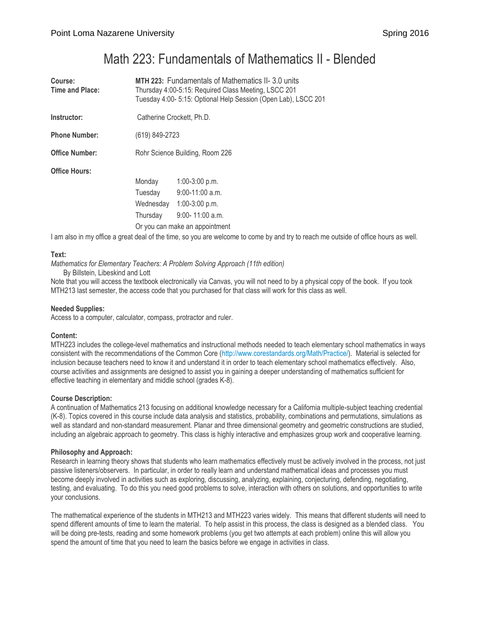# Math 223: Fundamentals of Mathematics II - Blended

| Course:<br>Time and Place: | <b>MTH 223: Fundamentals of Mathematics II-3.0 units</b><br>Thursday 4:00-5:15: Required Class Meeting, LSCC 201<br>Tuesday 4:00- 5:15: Optional Help Session (Open Lab), LSCC 201 |                     |  |
|----------------------------|------------------------------------------------------------------------------------------------------------------------------------------------------------------------------------|---------------------|--|
| Instructor:                | Catherine Crockett, Ph.D.                                                                                                                                                          |                     |  |
| <b>Phone Number:</b>       | (619) 849-2723                                                                                                                                                                     |                     |  |
| <b>Office Number:</b>      | Rohr Science Building, Room 226                                                                                                                                                    |                     |  |
| <b>Office Hours:</b>       |                                                                                                                                                                                    |                     |  |
|                            | Monday                                                                                                                                                                             | $1:00-3:00$ p.m.    |  |
|                            | Tuesday                                                                                                                                                                            | $9:00-11:00$ a.m.   |  |
|                            | Wednesday                                                                                                                                                                          | $1:00-3:00$ p.m.    |  |
|                            | Thursday                                                                                                                                                                           | $9:00 - 11:00$ a.m. |  |
|                            | Or you can make an appointment                                                                                                                                                     |                     |  |

I am also in my office a great deal of the time, so you are welcome to come by and try to reach me outside of office hours as well.

# **Text:**

*Mathematics for Elementary Teachers: A Problem Solving Approach (11th edition)*

By Billstein, Libeskind and Lott

Note that you will access the textbook electronically via Canvas, you will not need to by a physical copy of the book. If you took MTH213 last semester, the access code that you purchased for that class will work for this class as well.

# **Needed Supplies:**

Access to a computer, calculator, compass, protractor and ruler.

# **Content:**

MTH223 includes the college-level mathematics and instructional methods needed to teach elementary school mathematics in ways consistent with the recommendations of the Common Core [\(http://www.corestandards.org/Math/Practice/\)](http://www.corestandards.org/Math/Practice/). Material is selected for inclusion because teachers need to know it and understand it in order to teach elementary school mathematics effectively. Also, course activities and assignments are designed to assist you in gaining a deeper understanding of mathematics sufficient for effective teaching in elementary and middle school (grades K-8).

# **Course Description:**

A continuation of Mathematics 213 focusing on additional knowledge necessary for a California multiple-subject teaching credential (K-8). Topics covered in this course include data analysis and statistics, probability, combinations and permutations, simulations as well as standard and non-standard measurement. Planar and three dimensional geometry and geometric constructions are studied, including an algebraic approach to geometry. This class is highly interactive and emphasizes group work and cooperative learning.

# **Philosophy and Approach:**

Research in learning theory shows that students who learn mathematics effectively must be actively involved in the process, not just passive listeners/observers. In particular, in order to really learn and understand mathematical ideas and processes you must become deeply involved in activities such as exploring, discussing, analyzing, explaining, conjecturing, defending, negotiating, testing, and evaluating. To do this you need good problems to solve, interaction with others on solutions, and opportunities to write your conclusions.

The mathematical experience of the students in MTH213 and MTH223 varies widely. This means that different students will need to spend different amounts of time to learn the material. To help assist in this process, the class is designed as a blended class. You will be doing pre-tests, reading and some homework problems (you get two attempts at each problem) online this will allow you spend the amount of time that you need to learn the basics before we engage in activities in class.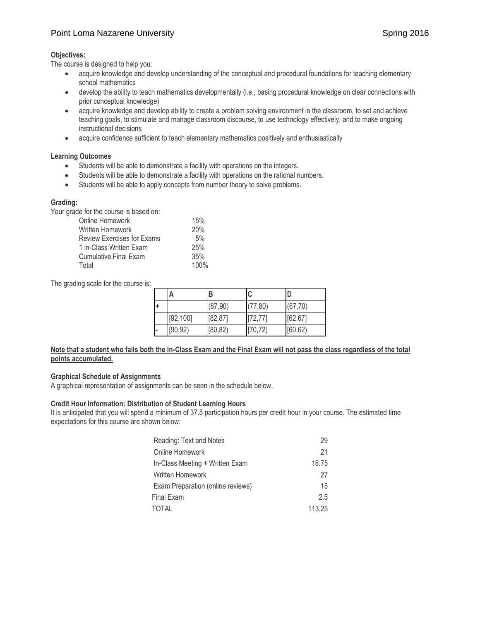# Point Loma Nazarene University Spring 2016

# **Objectives:**

The course is designed to help you:

- acquire knowledge and develop understanding of the conceptual and procedural foundations for teaching elementary school mathematics
- develop the ability to teach mathematics developmentally (i.e., basing procedural knowledge on clear connections with prior conceptual knowledge)
- acquire knowledge and develop ability to create a problem solving environment in the classroom, to set and achieve teaching goals, to stimulate and manage classroom discourse, to use technology effectively, and to make ongoing instructional decisions
- acquire confidence sufficient to teach elementary mathematics positively and enthusiastically

# **Learning Outcomes**

- Students will be able to demonstrate a facility with operations on the integers.
- Students will be able to demonstrate a facility with operations on the rational numbers.
- Students will be able to apply concepts from number theory to solve problems.

# **Grading:**

Your grade for the course is based on:

| Online Homework              | 15%  |
|------------------------------|------|
| Written Homework             | 20%  |
| Review Exercises for Exams   | 5%   |
| 1 in-Class Written Exam      | 25%  |
| <b>Cumulative Final Exam</b> | 35%  |
| Total                        | 100% |

The grading scale for the course is:

|  | А         | в        | C        | D        |
|--|-----------|----------|----------|----------|
|  |           | (87, 90) | (77, 80) | (67, 70) |
|  | [92, 100] | [82, 87] | [72, 77] | [62, 67] |
|  | [90, 92)  | [80, 82) | [70, 72) | [60, 62) |

# **Note that a student who fails both the In-Class Exam and the Final Exam will not pass the class regardless of the total points accumulated.**

# **Graphical Schedule of Assignments**

A graphical representation of assignments can be seen in the schedule below.

# **Credit Hour Information: Distribution of Student Learning Hours**

It is anticipated that you will spend a minimum of 37.5 participation hours per credit hour in your course. The estimated time expectations for this course are shown below:

| Reading: Text and Notes           | 29     |
|-----------------------------------|--------|
| Online Homework                   | 21     |
| In-Class Meeting + Written Exam   | 18.75  |
| Written Homework                  | 27     |
| Exam Preparation (online reviews) | 15     |
| Final Exam                        | 2.5    |
| TOTAL                             | 113.25 |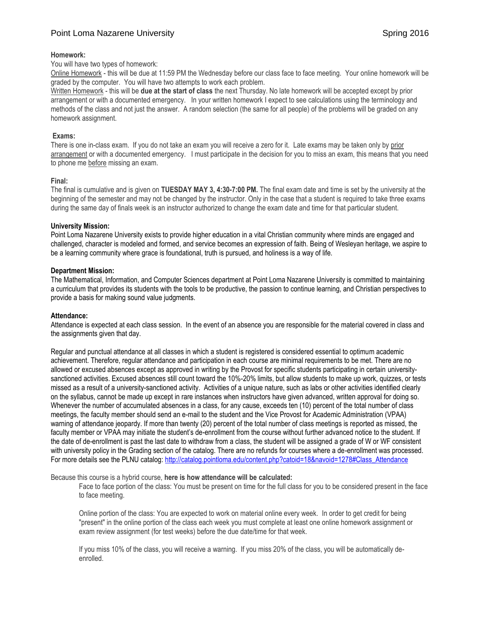# Point Loma Nazarene University Spring 2016

#### **Homework:**

#### You will have two types of homework:

Online Homework - this will be due at 11:59 PM the Wednesday before our class face to face meeting. Your online homework will be graded by the computer. You will have two attempts to work each problem.

Written Homework - this will be **due at the start of class** the next Thursday. No late homework will be accepted except by prior arrangement or with a documented emergency. In your written homework I expect to see calculations using the terminology and methods of the class and not just the answer. A random selection (the same for all people) of the problems will be graded on any homework assignment.

#### **Exams:**

There is one in-class exam. If you do not take an exam you will receive a zero for it. Late exams may be taken only by prior arrangement or with a documented emergency. I must participate in the decision for you to miss an exam, this means that you need to phone me before missing an exam.

#### **Final:**

The final is cumulative and is given on **TUESDAY MAY 3, 4:30-7:00 PM.** The final exam date and time is set by the university at the beginning of the semester and may not be changed by the instructor. Only in the case that a student is required to take three exams during the same day of finals week is an instructor authorized to change the exam date and time for that particular student.

#### **University Mission:**

Point Loma Nazarene University exists to provide higher education in a vital Christian community where minds are engaged and challenged, character is modeled and formed, and service becomes an expression of faith. Being of Wesleyan heritage, we aspire to be a learning community where grace is foundational, truth is pursued, and holiness is a way of life.

#### **Department Mission:**

The Mathematical, Information, and Computer Sciences department at Point Loma Nazarene University is committed to maintaining a curriculum that provides its students with the tools to be productive, the passion to continue learning, and Christian perspectives to provide a basis for making sound value judgments.

#### **Attendance:**

Attendance is expected at each class session. In the event of an absence you are responsible for the material covered in class and the assignments given that day.

Regular and punctual attendance at all classes in which a student is registered is considered essential to optimum academic achievement. Therefore, regular attendance and participation in each course are minimal requirements to be met. There are no allowed or excused absences except as approved in writing by the Provost for specific students participating in certain universitysanctioned activities. Excused absences still count toward the 10%-20% limits, but allow students to make up work, quizzes, or tests missed as a result of a university-sanctioned activity. Activities of a unique nature, such as labs or other activities identified clearly on the syllabus, cannot be made up except in rare instances when instructors have given advanced, written approval for doing so. Whenever the number of accumulated absences in a class, for any cause, exceeds ten (10) percent of the total number of class meetings, the faculty member should send an e-mail to the student and the Vice Provost for Academic Administration (VPAA) warning of attendance jeopardy. If more than twenty (20) percent of the total number of class meetings is reported as missed, the faculty member or VPAA may initiate the student's de-enrollment from the course without further advanced notice to the student. If the date of de-enrollment is past the last date to withdraw from a class, the student will be assigned a grade of W or WF consistent with university policy in the Grading section of the catalog. There are no refunds for courses where a de-enrollment was processed. For more details see the PLNU catalog[: http://catalog.pointloma.edu/content.php?catoid=18&navoid=1278#Class\\_Attendance](http://catalog.pointloma.edu/content.php?catoid=18&navoid=1278#Class_Attendance)

Because this course is a hybrid course, **here is how attendance will be calculated:**

Face to face portion of the class: You must be present on time for the full class for you to be considered present in the face to face meeting.

Online portion of the class: You are expected to work on material online every week. In order to get credit for being "present" in the online portion of the class each week you must complete at least one online homework assignment or exam review assignment (for test weeks) before the due date/time for that week.

If you miss 10% of the class, you will receive a warning. If you miss 20% of the class, you will be automatically deenrolled.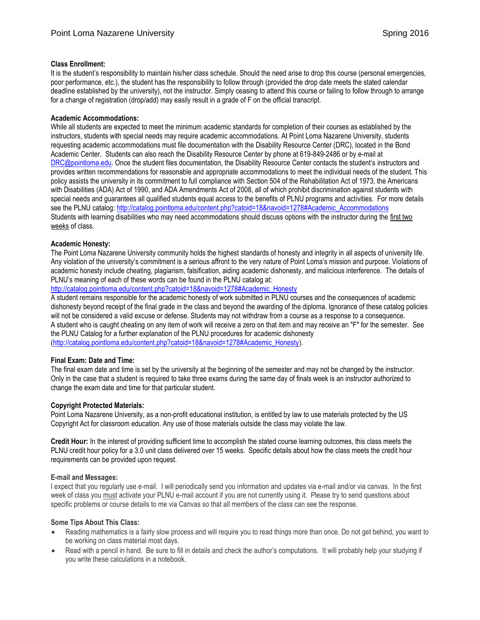# **Class Enrollment:**

It is the student's responsibility to maintain his/her class schedule. Should the need arise to drop this course (personal emergencies, poor performance, etc.), the student has the responsibility to follow through (provided the drop date meets the stated calendar deadline established by the university), not the instructor. Simply ceasing to attend this course or failing to follow through to arrange for a change of registration (drop/add) may easily result in a grade of F on the official transcript.

# **Academic Accommodations:**

While all students are expected to meet the minimum academic standards for completion of their courses as established by the instructors, students with special needs may require academic accommodations. At Point Loma Nazarene University, students requesting academic accommodations must file documentation with the Disability Resource Center (DRC), located in the Bond Academic Center. Students can also reach the Disability Resource Center by phone at 619-849-2486 or by e-mail at [DRC@pointloma.edu](mailto:DRC@pointloma.edu). Once the student files documentation, the Disability Resource Center contacts the student's instructors and provides written recommendations for reasonable and appropriate accommodations to meet the individual needs of the student. This policy assists the university in its commitment to full compliance with Section 504 of the Rehabilitation Act of 1973, the Americans with Disabilities (ADA) Act of 1990, and ADA Amendments Act of 2008, all of which prohibit discrimination against students with special needs and guarantees all qualified students equal access to the benefits of PLNU programs and activities. For more details see the PLNU catalog: http://catalog.pointloma.edu/content.php?catoid=18&navoid=1278#Academic\_Accommodations Students with learning disabilities who may need accommodations should discuss options with the instructor during the first two weeks of class.

# **Academic Honesty:**

The Point Loma Nazarene University community holds the highest standards of honesty and integrity in all aspects of university life. Any violation of the university's commitment is a serious affront to the very nature of Point Loma's mission and purpose. Violations of academic honesty include cheating, plagiarism, falsification, aiding academic dishonesty, and malicious interference. The details of PLNU's meaning of each of these words can be found in the PLNU catalog at:

# [http://catalog.pointloma.edu/content.php?catoid=18&navoid=1278#Academic\\_Honesty](http://catalog.pointloma.edu/content.php?catoid=18&navoid=1278#Academic_Honesty)

A student remains responsible for the academic honesty of work submitted in PLNU courses and the consequences of academic dishonesty beyond receipt of the final grade in the class and beyond the awarding of the diploma. Ignorance of these catalog policies will not be considered a valid excuse or defense. Students may not withdraw from a course as a response to a consequence. A student who is caught cheating on any item of work will receive a zero on that item and may receive an "F" for the semester. See the PLNU Catalog for a further explanation of the PLNU procedures for academic dishonesty [\(http://catalog.pointloma.edu/content.php?catoid=18&navoid=1278#Academic\\_Honesty\)](http://catalog.pointloma.edu/content.php?catoid=18&navoid=1278#Academic_Honesty).

# **Final Exam: Date and Time:**

The final exam date and time is set by the university at the beginning of the semester and may not be changed by the instructor. Only in the case that a student is required to take three exams during the same day of finals week is an instructor authorized to change the exam date and time for that particular student.

# **Copyright Protected Materials:**

Point Loma Nazarene University, as a non-profit educational institution, is entitled by law to use materials protected by the US Copyright Act for classroom education. Any use of those materials outside the class may violate the law.

**Credit Hour:** In the interest of providing sufficient time to accomplish the stated course learning outcomes, this class meets the PLNU credit hour policy for a 3.0 unit class delivered over 15 weeks. Specific details about how the class meets the credit hour requirements can be provided upon request.

# **E-mail and Messages:**

I expect that you regularly use e-mail. I will periodically send you information and updates via e-mail and/or via canvas. In the first week of class you must activate your PLNU e-mail account if you are not currently using it. Please try to send questions about specific problems or course details to me via Canvas so that all members of the class can see the response.

# **Some Tips About This Class:**

- Reading mathematics is a fairly slow process and will require you to read things more than once. Do not get behind, you want to be working on class material most days.
- Read with a pencil in hand. Be sure to fill in details and check the author's computations. It will probably help your studying if you write these calculations in a notebook.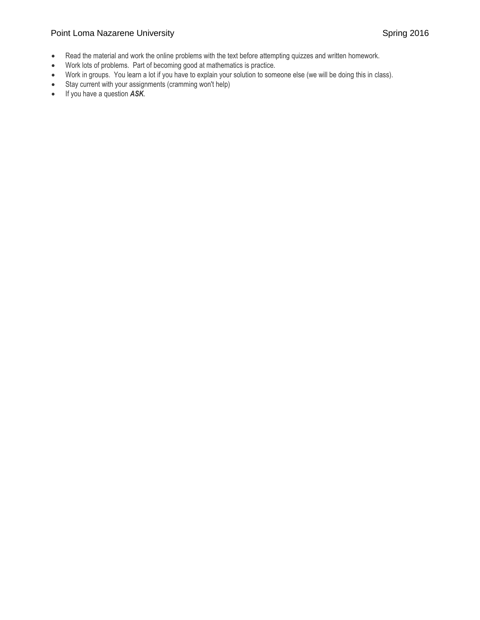# Point Loma Nazarene University **Spring 2016** Spring 2016

- Read the material and work the online problems with the text before attempting quizzes and written homework.
- Work lots of problems. Part of becoming good at mathematics is practice.
- Work in groups. You learn a lot if you have to explain your solution to someone else (we will be doing this in class).
- Stay current with your assignments (cramming won't help)
- If you have a question *ASK*.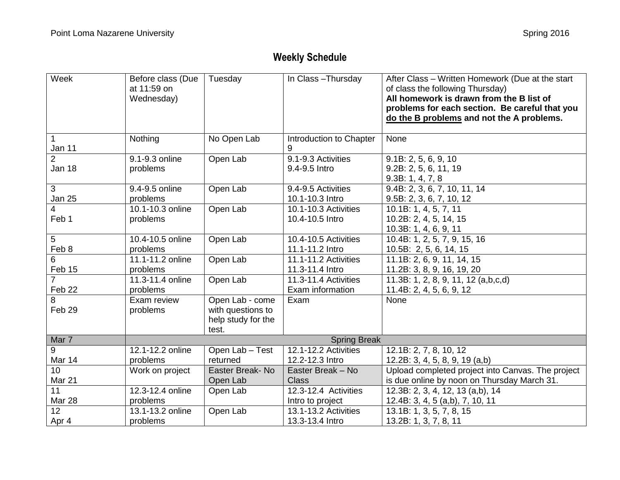# **Weekly Schedule**

| Week                     | Before class (Due<br>at 11:59 on<br>Wednesday) | Tuesday                                                             | In Class-Thursday                       | After Class - Written Homework (Due at the start<br>of class the following Thursday)<br>All homework is drawn from the B list of<br>problems for each section. Be careful that you<br>do the B problems and not the A problems. |
|--------------------------|------------------------------------------------|---------------------------------------------------------------------|-----------------------------------------|---------------------------------------------------------------------------------------------------------------------------------------------------------------------------------------------------------------------------------|
| 1<br>Jan 11              | Nothing                                        | No Open Lab                                                         | Introduction to Chapter<br>9            | None                                                                                                                                                                                                                            |
| $\overline{2}$<br>Jan 18 | 9.1-9.3 online<br>problems                     | Open Lab                                                            | 9.1-9.3 Activities<br>9.4-9.5 Intro     | 9.1B: 2, 5, 6, 9, 10<br>9.2B: 2, 5, 6, 11, 19<br>9.3B: 1, 4, 7, 8                                                                                                                                                               |
| 3                        | 9.4-9.5 online                                 | Open Lab                                                            | 9.4-9.5 Activities                      | 9.4B: 2, 3, 6, 7, 10, 11, 14                                                                                                                                                                                                    |
| <b>Jan 25</b>            | problems                                       |                                                                     | 10.1-10.3 Intro                         | 9.5B: 2, 3, 6, 7, 10, 12                                                                                                                                                                                                        |
| $\overline{4}$<br>Feb 1  | 10.1-10.3 online<br>problems                   | Open Lab                                                            | 10.1-10.3 Activities<br>10.4-10.5 Intro | 10.1B: 1, 4, 5, 7, 11<br>10.2B: 2, 4, 5, 14, 15<br>10.3B: 1, 4, 6, 9, 11                                                                                                                                                        |
| 5                        | $\overline{10}$ .4-10.5 online                 | Open Lab                                                            | 10.4-10.5 Activities                    | 10.4B: 1, 2, 5, 7, 9, 15, 16                                                                                                                                                                                                    |
| Feb 8                    | problems                                       |                                                                     | 11.1-11.2 Intro                         | 10.5B: 2, 5, 6, 14, 15                                                                                                                                                                                                          |
| 6                        | 11.1-11.2 online                               | Open Lab                                                            | 11.1-11.2 Activities                    | 11.1B: 2, 6, 9, 11, 14, 15                                                                                                                                                                                                      |
| Feb 15                   | problems                                       |                                                                     | 11.3-11.4 Intro                         | 11.2B: 3, 8, 9, 16, 19, 20                                                                                                                                                                                                      |
| $\overline{7}$           | 11.3-11.4 online                               | Open Lab                                                            | 11.3-11.4 Activities                    | 11.3B: 1, 2, 8, 9, 11, 12 (a,b,c,d)                                                                                                                                                                                             |
| Feb 22                   | problems                                       |                                                                     | Exam information                        | 11.4B: 2, 4, 5, 6, 9, 12                                                                                                                                                                                                        |
| 8<br>Feb 29              | Exam review<br>problems                        | Open Lab - come<br>with questions to<br>help study for the<br>test. | Exam                                    | None                                                                                                                                                                                                                            |
| Mar 7                    | <b>Spring Break</b>                            |                                                                     |                                         |                                                                                                                                                                                                                                 |
| 9                        | 12.1-12.2 online                               | Open Lab - Test                                                     | 12.1-12.2 Activities                    | 12.1B: 2, 7, 8, 10, 12                                                                                                                                                                                                          |
| Mar 14                   | problems                                       | returned                                                            | 12.2-12.3 Intro                         | 12.2B: 3, 4, 5, 8, 9, 19 (a,b)                                                                                                                                                                                                  |
| 10                       | Work on project                                | Easter Break-No                                                     | Easter Break - No                       | Upload completed project into Canvas. The project                                                                                                                                                                               |
| Mar 21                   |                                                | Open Lab                                                            | <b>Class</b>                            | is due online by noon on Thursday March 31.                                                                                                                                                                                     |
| 11                       | 12.3-12.4 online                               | Open Lab                                                            | 12.3-12.4 Activities                    | 12.3B: 2, 3, 4, 12, 13 (a,b), 14                                                                                                                                                                                                |
| Mar 28                   | problems                                       |                                                                     | Intro to project                        | 12.4B: 3, 4, 5 (a,b), 7, 10, 11                                                                                                                                                                                                 |
| 12                       | 13.1-13.2 online                               | Open Lab                                                            | 13.1-13.2 Activities                    | 13.1B: 1, 3, 5, 7, 8, 15                                                                                                                                                                                                        |
| Apr 4                    | problems                                       |                                                                     | 13.3-13.4 Intro                         | 13.2B: 1, 3, 7, 8, 11                                                                                                                                                                                                           |